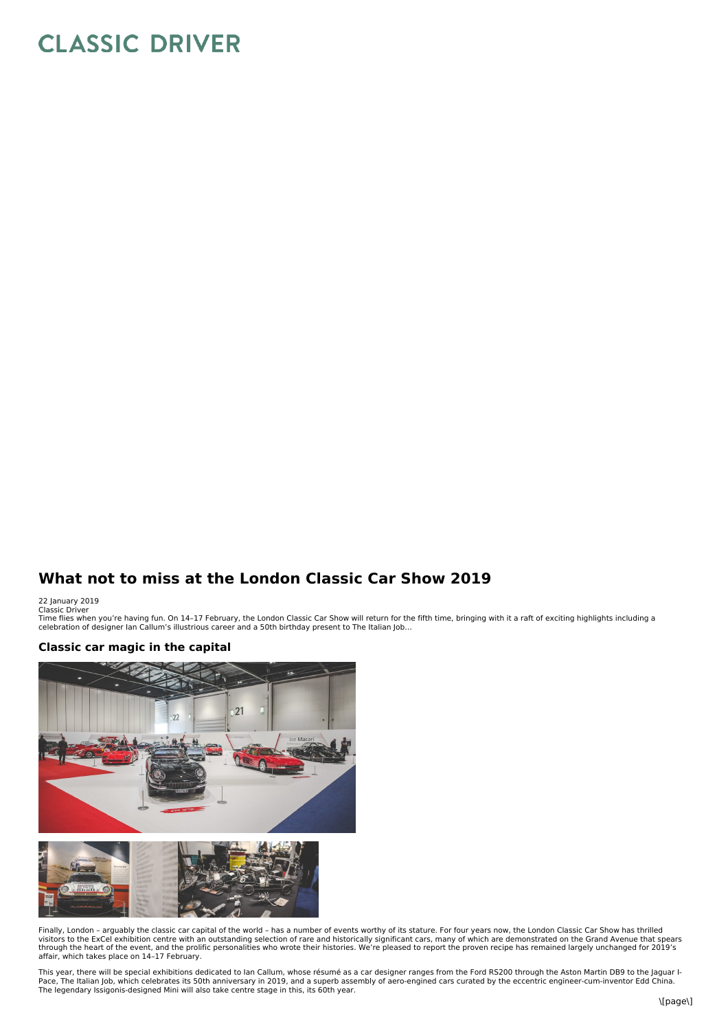## **CLASSIC DRIVER**

## **What not to miss at the London Classic Car Show 2019**

22 January 2019 Classic Driver

Time flies when you're having fun. On 14–17 February, the London Classic Car Show will return for the fifth time, bringing with it a raft of exciting highlights including a<br>celebration of designer Ian Callum's illustrious

## **Classic car magic in the capital**



Finally, London - arguably the classic car capital of the world - has a number of events worthy of its stature. For four years now, the London Classic Car Show has thrilled<br>visitors to the ExCel exhibition centre with an o affair, which takes place on 14–17 February.

This year, there will be special exhibitions dedicated to Ian Callum, whose résumé as a car designer ranges from the Ford RS200 through the Aston Martin DB9 to the Jaguar I- Pace, The Italian Job, which celebrates its 50th anniversary in 2019, and a superb assembly of aero-engined cars curated by the eccentric engineer-cum-inventor Edd China.<br>The legendary Issigonis-designed Mini will also tak